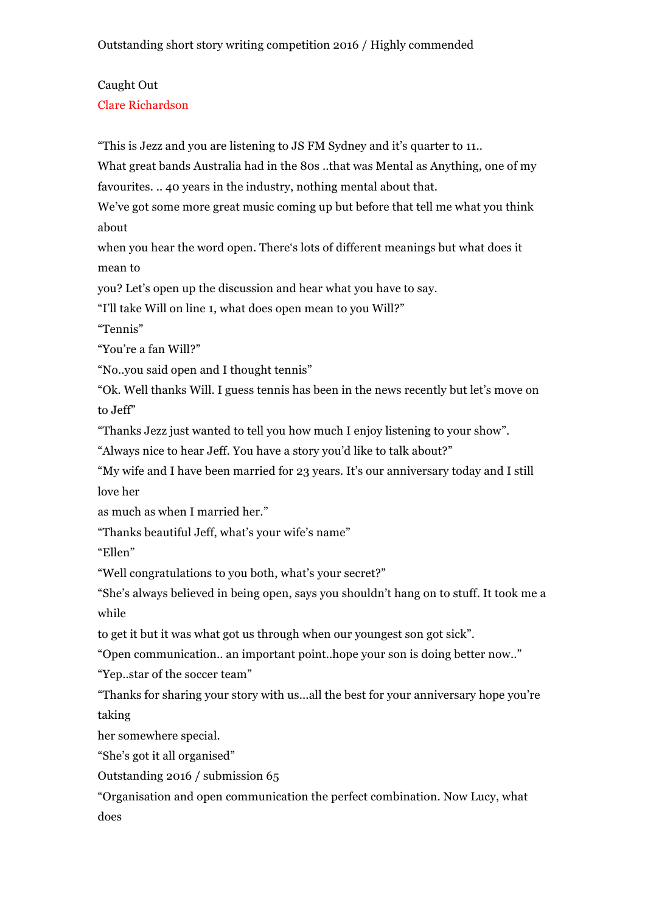## Outstanding short story writing competition 2016 / Highly commended

## Caught Out

Clare Richardson

"This is Jezz and you are listening to JS FM Sydney and it's quarter to 11..

What great bands Australia had in the 80s ..that was Mental as Anything, one of my favourites. .. 40 years in the industry, nothing mental about that.

We've got some more great music coming up but before that tell me what you think about

when you hear the word open. There's lots of different meanings but what does it mean to

you? Let's open up the discussion and hear what you have to say.

"I'll take Will on line 1, what does open mean to you Will?"

"Tennis"

"You're a fan Will?"

"No..you said open and I thought tennis"

"Ok. Well thanks Will. I guess tennis has been in the news recently but let's move on to Jeff"

"Thanks Jezz just wanted to tell you how much I enjoy listening to your show".

"Always nice to hear Jeff. You have a story you'd like to talk about?"

"My wife and I have been married for 23 years. It's our anniversary today and I still love her

as much as when I married her."

"Thanks beautiful Jeff, what's your wife's name"

"Ellen"

"Well congratulations to you both, what's your secret?"

"She's always believed in being open, says you shouldn't hang on to stuff. It took me a while

to get it but it was what got us through when our youngest son got sick".

"Open communication.. an important point..hope your son is doing better now.."

"Yep..star of the soccer team"

"Thanks for sharing your story with us...all the best for your anniversary hope you're taking

her somewhere special.

"She's got it all organised"

Outstanding 2016 / submission 65

"Organisation and open communication the perfect combination. Now Lucy, what does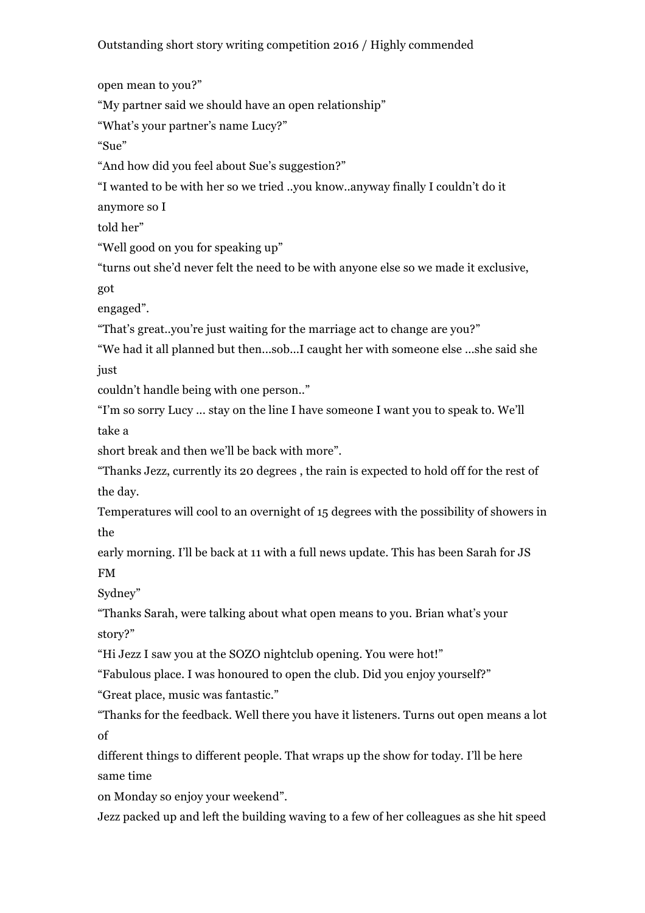Outstanding short story writing competition 2016 / Highly commended

open mean to you?"

"My partner said we should have an open relationship"

"What's your partner's name Lucy?"

"Sue"

"And how did you feel about Sue's suggestion?"

"I wanted to be with her so we tried ..you know..anyway finally I couldn't do it

anymore so I

told her"

"Well good on you for speaking up"

"turns out she'd never felt the need to be with anyone else so we made it exclusive,

got

engaged".

"That's great..you're just waiting for the marriage act to change are you?"

"We had it all planned but then...sob...I caught her with someone else ...she said she just

couldn't handle being with one person.."

"I'm so sorry Lucy ... stay on the line I have someone I want you to speak to. We'll take a

short break and then we'll be back with more".

"Thanks Jezz, currently its 20 degrees , the rain is expected to hold off for the rest of the day.

Temperatures will cool to an overnight of 15 degrees with the possibility of showers in the

early morning. I'll be back at 11 with a full news update. This has been Sarah for JS FM

Sydney"

"Thanks Sarah, were talking about what open means to you. Brian what's your story?"

"Hi Jezz I saw you at the SOZO nightclub opening. You were hot!"

"Fabulous place. I was honoured to open the club. Did you enjoy yourself?"

"Great place, music was fantastic."

"Thanks for the feedback. Well there you have it listeners. Turns out open means a lot of

different things to different people. That wraps up the show for today. I'll be here same time

on Monday so enjoy your weekend".

Jezz packed up and left the building waving to a few of her colleagues as she hit speed